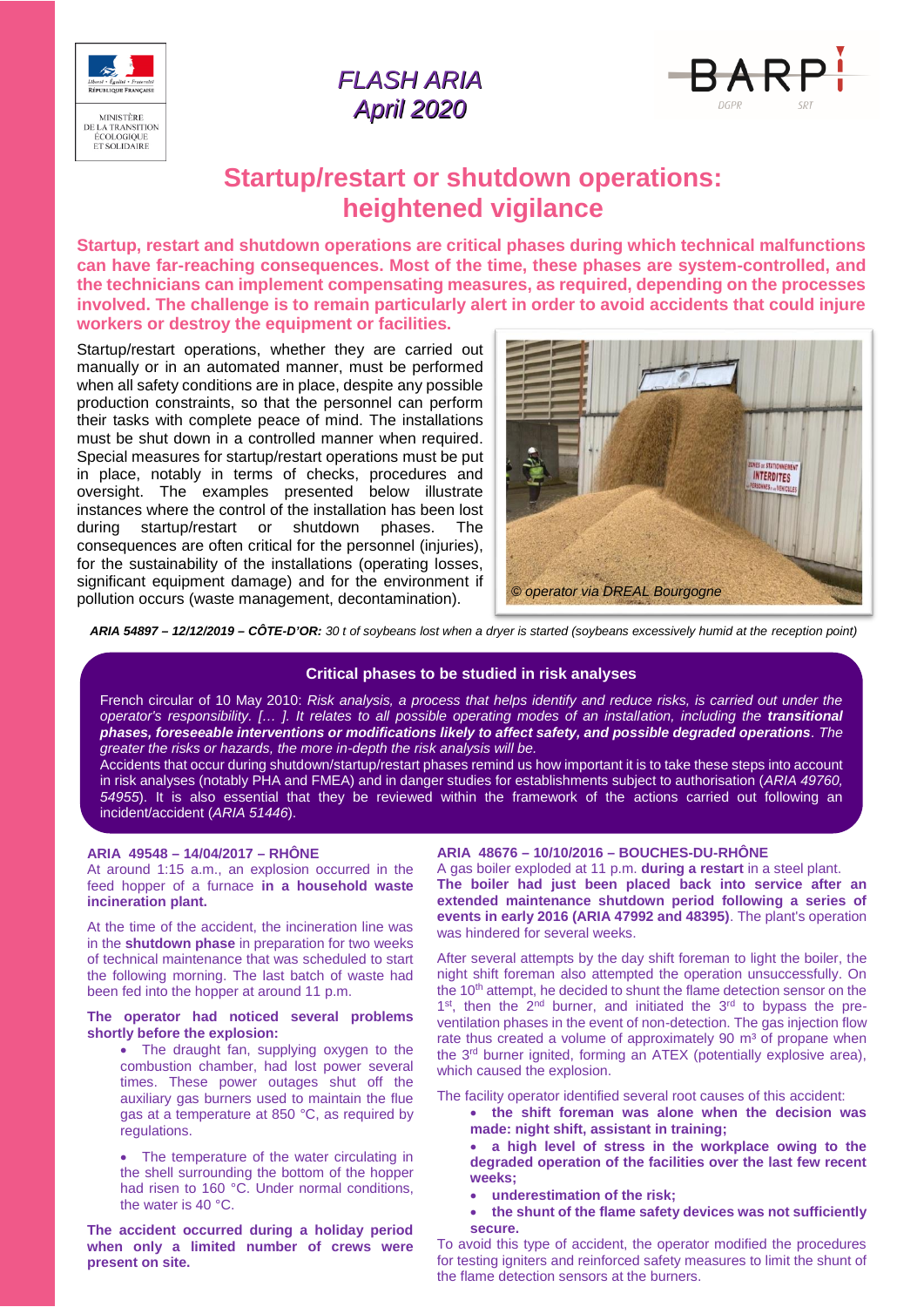

## *FLASH ARIA April 2020*



# **Startup/restart or shutdown operations: heightened vigilance**

**Startup, restart and shutdown operations are critical phases during which technical malfunctions can have far-reaching consequences. Most of the time, these phases are system-controlled, and the technicians can implement compensating measures, as required, depending on the processes involved. The challenge is to remain particularly alert in order to avoid accidents that could injure workers or destroy the equipment or facilities.**

Startup/restart operations, whether they are carried out manually or in an automated manner, must be performed when all safety conditions are in place, despite any possible production constraints, so that the personnel can perform their tasks with complete peace of mind. The installations must be shut down in a controlled manner when required. Special measures for startup/restart operations must be put in place, notably in terms of checks, procedures and oversight. The examples presented below illustrate instances where the control of the installation has been lost during startup/restart or shutdown phases. The consequences are often critical for the personnel (injuries), for the sustainability of the installations (operating losses, significant equipment damage) and for the environment if pollution occurs (waste management, decontamination).



*ARIA 54897 – 12/12/2019 – CÔTE-D'OR: 30 t of soybeans lost when a dryer is started (soybeans excessively humid at the reception point)*

### **Critical phases to be studied in risk analyses**

French circular of 10 May 2010: *Risk analysis, a process that helps identify and reduce risks, is carried out under the operator's responsibility. [… ]. It relates to all possible operating modes of an installation, including the transitional phases, foreseeable interventions or modifications likely to affect safety, and possible degraded operations. The greater the risks or hazards, the more in-depth the risk analysis will be.*

Accidents that occur during shutdown/startup/restart phases remind us how important it is to take these steps into account in risk analyses (notably PHA and FMEA) and in danger studies for establishments subject to authorisation (*ARIA 49760, 54955*). It is also essential that they be reviewed within the framework of the actions carried out following an incident/accident (*ARIA 51446*).

#### **ARIA 49548 – 14/04/2017 – RHÔNE**

At around 1:15 a.m., an explosion occurred in the feed hopper of a furnace **in a household waste incineration plant.**

At the time of the accident, the incineration line was in the **shutdown phase** in preparation for two weeks of technical maintenance that was scheduled to start the following morning. The last batch of waste had been fed into the hopper at around 11 p.m.

#### **The operator had noticed several problems shortly before the explosion:**

• The draught fan, supplying oxygen to the combustion chamber, had lost power several times. These power outages shut off the auxiliary gas burners used to maintain the flue gas at a temperature at 850 °C, as required by regulations.

 The temperature of the water circulating in the shell surrounding the bottom of the hopper had risen to 160 °C. Under normal conditions, the water is 40 °C.

**The accident occurred during a holiday period when only a limited number of crews were present on site.**

#### **ARIA 48676 – 10/10/2016 – BOUCHES-DU-RHÔNE**

A gas boiler exploded at 11 p.m. **during a restart** in a steel plant. **The boiler had just been placed back into service after an extended maintenance shutdown period following a series of events in early 2016 (ARIA 47992 and 48395)**. The plant's operation was hindered for several weeks.

After several attempts by the day shift foreman to light the boiler, the night shift foreman also attempted the operation unsuccessfully. On the 10<sup>th</sup> attempt, he decided to shunt the flame detection sensor on the 1<sup>st</sup>, then the 2<sup>nd</sup> burner, and initiated the 3<sup>rd</sup> to bypass the preventilation phases in the event of non-detection. The gas injection flow rate thus created a volume of approximately 90 m<sup>3</sup> of propane when the 3<sup>rd</sup> burner ignited, forming an ATEX (potentially explosive area), which caused the explosion.

The facility operator identified several root causes of this accident:

- **the shift foreman was alone when the decision was made: night shift, assistant in training;**
- **a high level of stress in the workplace owing to the degraded operation of the facilities over the last few recent weeks;**
- **underestimation of the risk;**
- **the shunt of the flame safety devices was not sufficiently secure.**

To avoid this type of accident, the operator modified the procedures for testing igniters and reinforced safety measures to limit the shunt of the flame detection sensors at the burners.